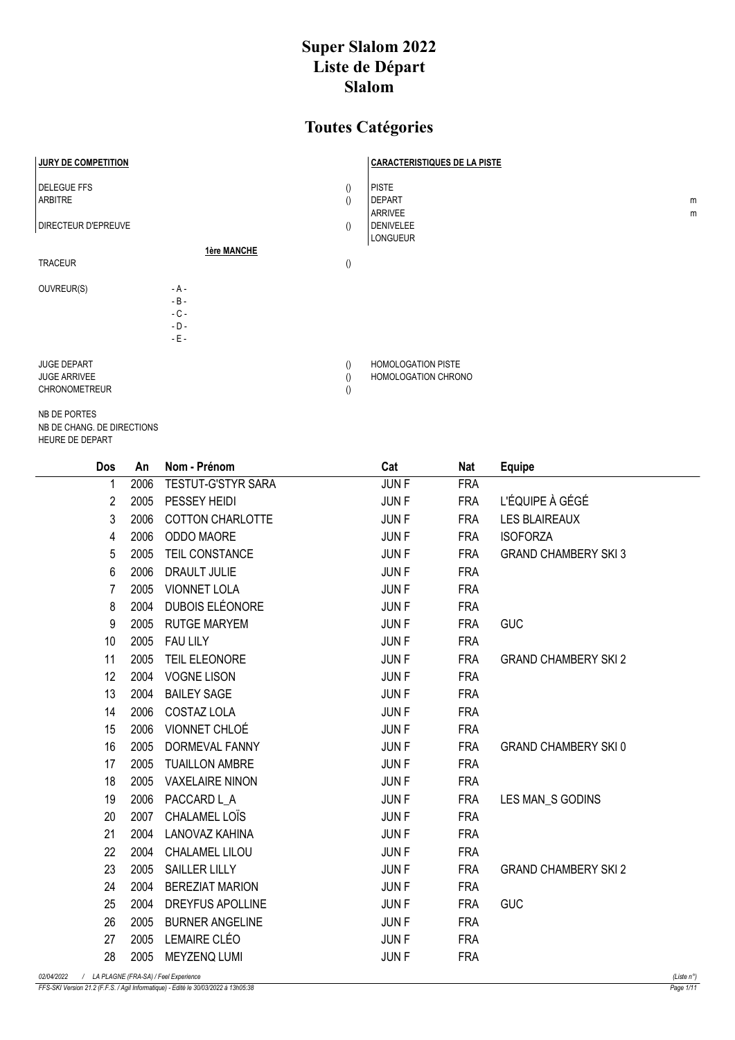## Super Slalom 2022 Liste de Départ Slalom

## Toutes Catégories

| <b>JURY DE COMPETITION</b>                                        |                                                |                                      | <b>CARACTERISTIQUES DE LA PISTE</b>              |        |
|-------------------------------------------------------------------|------------------------------------------------|--------------------------------------|--------------------------------------------------|--------|
| <b>DELEGUE FFS</b><br><b>ARBITRE</b>                              |                                                | $\left( \right)$<br>$\left( \right)$ | <b>PISTE</b><br><b>DEPART</b><br>ARRIVEE         | m<br>m |
| <b>DIRECTEUR D'EPREUVE</b>                                        |                                                | $\langle$                            | <b>DENIVELEE</b><br><b>LONGUEUR</b>              |        |
| <b>TRACEUR</b>                                                    | 1ère MANCHE                                    | $\left(\right)$                      |                                                  |        |
| OUVREUR(S)                                                        | $-A -$<br>$-B -$<br>$-C -$<br>$-D -$<br>$-E -$ |                                      |                                                  |        |
| <b>JUGE DEPART</b><br><b>JUGE ARRIVEE</b><br><b>CHRONOMETREUR</b> |                                                | $\left( \right)$<br>$\left( \right)$ | <b>HOMOLOGATION PISTE</b><br>HOMOLOGATION CHRONO |        |

NB DE PORTES NB DE CHANG. DE DIRECTIONS HEURE DE DEPART

|            | Dos                                    | An   | Nom - Prénom            | Cat         | <b>Nat</b> | <b>Equipe</b>               |                      |
|------------|----------------------------------------|------|-------------------------|-------------|------------|-----------------------------|----------------------|
|            |                                        | 2006 | TESTUT-G'STYR SARA      | JUN F       | <b>FRA</b> |                             |                      |
|            | 2                                      | 2005 | PESSEY HEIDI            | <b>JUNF</b> | <b>FRA</b> | L'ÉQUIPE À GÉGÉ             |                      |
|            | 3                                      | 2006 | <b>COTTON CHARLOTTE</b> | <b>JUNF</b> | <b>FRA</b> | <b>LES BLAIREAUX</b>        |                      |
|            | 4                                      | 2006 | ODDO MAORE              | <b>JUNF</b> | <b>FRA</b> | <b>ISOFORZA</b>             |                      |
|            | 5                                      | 2005 | TEIL CONSTANCE          | <b>JUNF</b> | <b>FRA</b> | <b>GRAND CHAMBERY SKI 3</b> |                      |
|            | 6                                      | 2006 | <b>DRAULT JULIE</b>     | <b>JUNF</b> | <b>FRA</b> |                             |                      |
|            | 7                                      | 2005 | <b>VIONNET LOLA</b>     | <b>JUNF</b> | <b>FRA</b> |                             |                      |
|            | 8                                      | 2004 | DUBOIS ELÉONORE         | <b>JUNF</b> | <b>FRA</b> |                             |                      |
|            | 9                                      | 2005 | <b>RUTGE MARYEM</b>     | <b>JUNF</b> | <b>FRA</b> | <b>GUC</b>                  |                      |
|            | 10                                     | 2005 | <b>FAU LILY</b>         | <b>JUNF</b> | <b>FRA</b> |                             |                      |
|            | 11                                     | 2005 | TEIL ELEONORE           | <b>JUNF</b> | <b>FRA</b> | <b>GRAND CHAMBERY SKI 2</b> |                      |
|            | 12                                     | 2004 | <b>VOGNE LISON</b>      | <b>JUNF</b> | <b>FRA</b> |                             |                      |
|            | 13                                     | 2004 | <b>BAILEY SAGE</b>      | <b>JUNF</b> | <b>FRA</b> |                             |                      |
|            | 14                                     | 2006 | COSTAZ LOLA             | <b>JUNF</b> | <b>FRA</b> |                             |                      |
|            | 15                                     | 2006 | VIONNET CHLOÉ           | <b>JUNF</b> | <b>FRA</b> |                             |                      |
|            | 16                                     | 2005 | DORMEVAL FANNY          | <b>JUNF</b> | <b>FRA</b> | <b>GRAND CHAMBERY SKI0</b>  |                      |
|            | 17                                     | 2005 | <b>TUAILLON AMBRE</b>   | <b>JUNF</b> | <b>FRA</b> |                             |                      |
|            | 18                                     | 2005 | <b>VAXELAIRE NINON</b>  | <b>JUNF</b> | <b>FRA</b> |                             |                      |
|            | 19                                     | 2006 | PACCARD L_A             | <b>JUNF</b> | <b>FRA</b> | LES MAN_S GODINS            |                      |
|            | 20                                     | 2007 | CHALAMEL LOIS           | <b>JUNF</b> | <b>FRA</b> |                             |                      |
|            | 21                                     | 2004 | LANOVAZ KAHINA          | <b>JUNF</b> | <b>FRA</b> |                             |                      |
|            | 22                                     | 2004 | CHALAMEL LILOU          | <b>JUNF</b> | <b>FRA</b> |                             |                      |
|            | 23                                     | 2005 | <b>SAILLER LILLY</b>    | JUN F       | <b>FRA</b> | <b>GRAND CHAMBERY SKI 2</b> |                      |
|            | 24                                     | 2004 | <b>BEREZIAT MARION</b>  | <b>JUNF</b> | <b>FRA</b> |                             |                      |
|            | 25                                     | 2004 | <b>DREYFUS APOLLINE</b> | <b>JUNF</b> | <b>FRA</b> | <b>GUC</b>                  |                      |
|            | 26                                     | 2005 | <b>BURNER ANGELINE</b>  | <b>JUNF</b> | <b>FRA</b> |                             |                      |
|            | 27                                     | 2005 | LEMAIRE CLÉO            | JUN F       | <b>FRA</b> |                             |                      |
|            | 28                                     | 2005 | <b>MEYZENQ LUMI</b>     | <b>JUNF</b> | <b>FRA</b> |                             |                      |
| 02/04/2022 | / LA PLAGNE (FRA-SA) / Feel Experience |      |                         |             |            |                             | (Liste $n^{\circ}$ ) |

FFS-SKI Version 21.2 (F.F.S. / Agil Informatique) - Edité le 30/03/2022 à 13h05:38 Page 1/11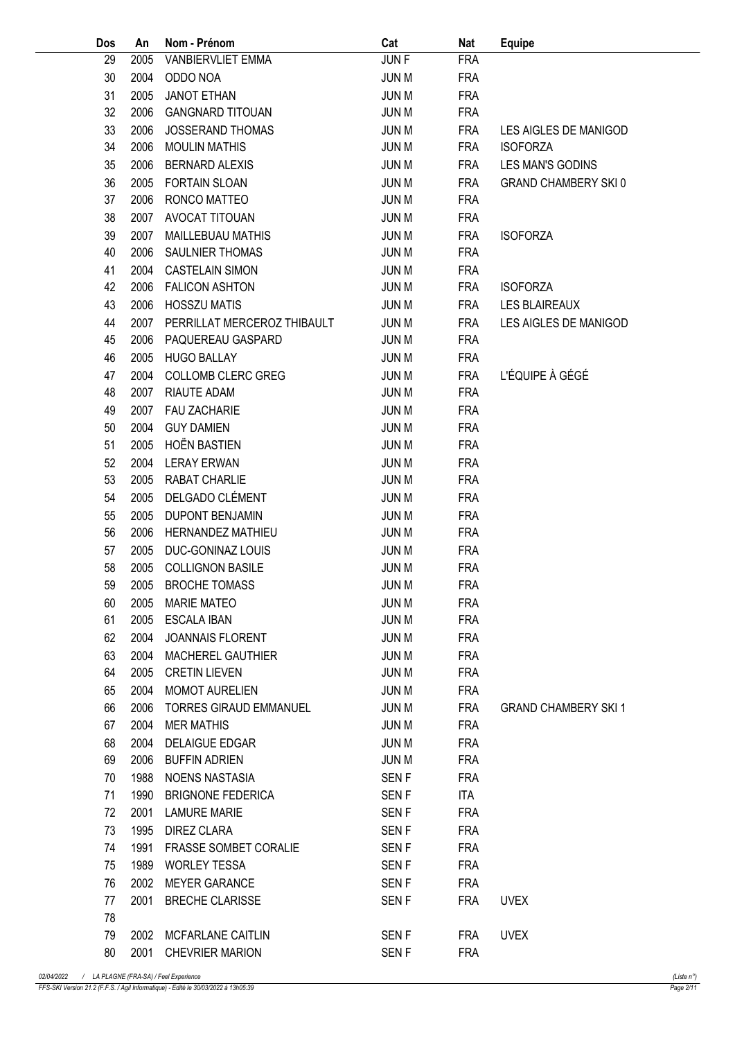| Dos | An   | Nom - Prénom                 | Cat              | Nat        | <b>Equipe</b>               |
|-----|------|------------------------------|------------------|------------|-----------------------------|
| 29  | 2005 | VANBIERVLIET EMMA            | JUN F            | <b>FRA</b> |                             |
| 30  | 2004 | ODDO NOA                     | <b>JUN M</b>     | <b>FRA</b> |                             |
| 31  | 2005 | <b>JANOT ETHAN</b>           | <b>JUN M</b>     | <b>FRA</b> |                             |
| 32  | 2006 | <b>GANGNARD TITOUAN</b>      | <b>JUN M</b>     | <b>FRA</b> |                             |
| 33  | 2006 | <b>JOSSERAND THOMAS</b>      | <b>JUN M</b>     | <b>FRA</b> | LES AIGLES DE MANIGOD       |
| 34  | 2006 | <b>MOULIN MATHIS</b>         | <b>JUN M</b>     | <b>FRA</b> | <b>ISOFORZA</b>             |
| 35  | 2006 | <b>BERNARD ALEXIS</b>        | <b>JUN M</b>     | <b>FRA</b> | LES MAN'S GODINS            |
| 36  | 2005 | <b>FORTAIN SLOAN</b>         | <b>JUN M</b>     | <b>FRA</b> | <b>GRAND CHAMBERY SKI0</b>  |
| 37  | 2006 | RONCO MATTEO                 | <b>JUN M</b>     | <b>FRA</b> |                             |
| 38  | 2007 | AVOCAT TITOUAN               | <b>JUN M</b>     | <b>FRA</b> |                             |
| 39  | 2007 | MAILLEBUAU MATHIS            | <b>JUN M</b>     | <b>FRA</b> | <b>ISOFORZA</b>             |
| 40  | 2006 | SAULNIER THOMAS              | <b>JUN M</b>     | <b>FRA</b> |                             |
| 41  | 2004 | <b>CASTELAIN SIMON</b>       | <b>JUN M</b>     | <b>FRA</b> |                             |
| 42  | 2006 | <b>FALICON ASHTON</b>        | <b>JUN M</b>     | <b>FRA</b> | <b>ISOFORZA</b>             |
| 43  | 2006 | <b>HOSSZU MATIS</b>          | <b>JUN M</b>     | <b>FRA</b> | <b>LES BLAIREAUX</b>        |
| 44  | 2007 | PERRILLAT MERCEROZ THIBAULT  | <b>JUN M</b>     | <b>FRA</b> | LES AIGLES DE MANIGOD       |
| 45  | 2006 | PAQUEREAU GASPARD            | <b>JUN M</b>     | <b>FRA</b> |                             |
| 46  | 2005 | <b>HUGO BALLAY</b>           | <b>JUN M</b>     | <b>FRA</b> |                             |
| 47  | 2004 | <b>COLLOMB CLERC GREG</b>    | <b>JUN M</b>     | <b>FRA</b> | L'ÉQUIPE À GÉGÉ             |
| 48  | 2007 | <b>RIAUTE ADAM</b>           |                  | <b>FRA</b> |                             |
|     | 2007 |                              | <b>JUN M</b>     |            |                             |
| 49  |      | <b>FAU ZACHARIE</b>          | <b>JUN M</b>     | <b>FRA</b> |                             |
| 50  | 2004 | <b>GUY DAMIEN</b>            | <b>JUN M</b>     | <b>FRA</b> |                             |
| 51  | 2005 | <b>HOËN BASTIEN</b>          | <b>JUN M</b>     | <b>FRA</b> |                             |
| 52  | 2004 | <b>LERAY ERWAN</b>           | <b>JUN M</b>     | <b>FRA</b> |                             |
| 53  | 2005 | RABAT CHARLIE                | <b>JUN M</b>     | <b>FRA</b> |                             |
| 54  | 2005 | DELGADO CLÉMENT              | <b>JUN M</b>     | <b>FRA</b> |                             |
| 55  | 2005 | <b>DUPONT BENJAMIN</b>       | <b>JUN M</b>     | <b>FRA</b> |                             |
| 56  | 2006 | HERNANDEZ MATHIEU            | <b>JUN M</b>     | <b>FRA</b> |                             |
| 57  | 2005 | DUC-GONINAZ LOUIS            | <b>JUN M</b>     | <b>FRA</b> |                             |
| 58  | 2005 | <b>COLLIGNON BASILE</b>      | <b>JUN M</b>     | <b>FRA</b> |                             |
| 59  |      | 2005 BROCHE TOMASS           | JUN M            | <b>FRA</b> |                             |
| 60  |      | 2005 MARIE MATEO             | JUN M            | <b>FRA</b> |                             |
| 61  |      | 2005 ESCALA IBAN             | JUN M            | <b>FRA</b> |                             |
| 62  | 2004 | JOANNAIS FLORENT             | JUN M            | <b>FRA</b> |                             |
| 63  |      | 2004 MACHEREL GAUTHIER       | JUN M            | <b>FRA</b> |                             |
| 64  | 2005 | <b>CRETIN LIEVEN</b>         | JUN M            | <b>FRA</b> |                             |
| 65  | 2004 | <b>MOMOT AURELIEN</b>        | JUN M            | <b>FRA</b> |                             |
| 66  | 2006 | TORRES GIRAUD EMMANUEL       | JUN M            | FRA        | <b>GRAND CHAMBERY SKI 1</b> |
| 67  | 2004 | <b>MER MATHIS</b>            | JUN M            | <b>FRA</b> |                             |
| 68  | 2004 | <b>DELAIGUE EDGAR</b>        | <b>JUN M</b>     | <b>FRA</b> |                             |
| 69  | 2006 | BUFFIN ADRIEN                | <b>JUN M</b>     | <b>FRA</b> |                             |
| 70  | 1988 | NOENS NASTASIA               | SEN F            | <b>FRA</b> |                             |
| 71  | 1990 | BRIGNONE FEDERICA            | SEN F            | ITA        |                             |
| 72  | 2001 | LAMURE MARIE                 | SEN F            | <b>FRA</b> |                             |
| 73  | 1995 | DIREZ CLARA                  | SEN <sub>F</sub> | <b>FRA</b> |                             |
| 74  | 1991 | <b>FRASSE SOMBET CORALIE</b> | SEN F            | <b>FRA</b> |                             |
| 75  | 1989 | <b>WORLEY TESSA</b>          | SEN F            | <b>FRA</b> |                             |
| 76  | 2002 | MEYER GARANCE                | SEN F            | <b>FRA</b> |                             |
| 77  |      | 2001 BRECHE CLARISSE         | SEN F            | FRA        | <b>UVEX</b>                 |
| 78  |      |                              |                  |            |                             |
| 79  |      | 2002 MCFARLANE CAITLIN       | SEN F            | FRA        | <b>UVEX</b>                 |
| 80  |      | 2001 CHEVRIER MARION         | SEN F            | <b>FRA</b> |                             |
|     |      |                              |                  |            |                             |

FFS-SKI Version 21.2 (F.F.S. / Agil Informatique) - Edité le 30/03/2022 à 13h05:39 Page 2/11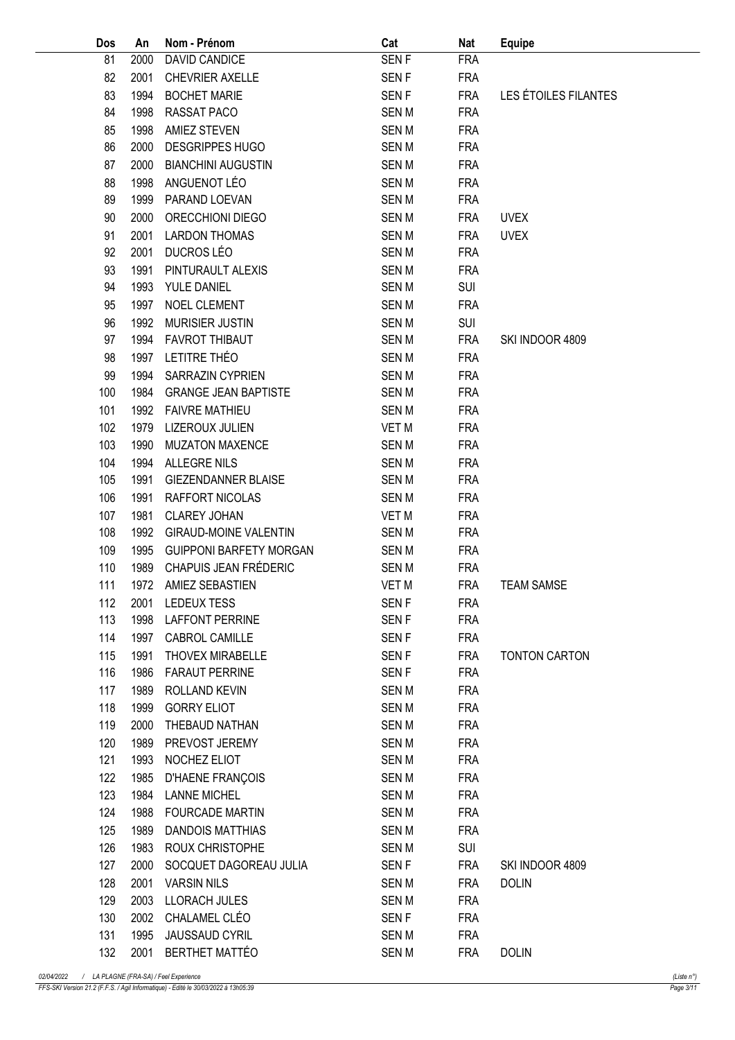| Dos | An   | Nom - Prénom                   | Cat          | Nat        | <b>Equipe</b>        |
|-----|------|--------------------------------|--------------|------------|----------------------|
| 81  | 2000 | DAVID CANDICE                  | <b>SENF</b>  | <b>FRA</b> |                      |
| 82  | 2001 | <b>CHEVRIER AXELLE</b>         | SEN F        | <b>FRA</b> |                      |
| 83  | 1994 | <b>BOCHET MARIE</b>            | <b>SENF</b>  | <b>FRA</b> | LES ÉTOILES FILANTES |
| 84  | 1998 | RASSAT PACO                    | SEN M        | <b>FRA</b> |                      |
| 85  | 1998 | <b>AMIEZ STEVEN</b>            | <b>SENM</b>  | <b>FRA</b> |                      |
| 86  | 2000 | <b>DESGRIPPES HUGO</b>         | <b>SENM</b>  | <b>FRA</b> |                      |
| 87  | 2000 | <b>BIANCHINI AUGUSTIN</b>      | <b>SENM</b>  | <b>FRA</b> |                      |
| 88  | 1998 | ANGUENOT LÉO                   | <b>SENM</b>  | <b>FRA</b> |                      |
| 89  | 1999 | PARAND LOEVAN                  | <b>SEN M</b> | <b>FRA</b> |                      |
| 90  | 2000 | ORECCHIONI DIEGO               | <b>SENM</b>  | <b>FRA</b> | <b>UVEX</b>          |
| 91  | 2001 | <b>LARDON THOMAS</b>           | <b>SENM</b>  | <b>FRA</b> | <b>UVEX</b>          |
| 92  | 2001 | DUCROS LÉO                     | <b>SEN M</b> | <b>FRA</b> |                      |
| 93  | 1991 | PINTURAULT ALEXIS              | <b>SENM</b>  | <b>FRA</b> |                      |
| 94  | 1993 | YULE DANIEL                    | <b>SENM</b>  | SUI        |                      |
| 95  | 1997 | NOEL CLEMENT                   | <b>SEN M</b> | <b>FRA</b> |                      |
| 96  | 1992 | <b>MURISIER JUSTIN</b>         | <b>SENM</b>  | <b>SUI</b> |                      |
| 97  | 1994 | <b>FAVROT THIBAUT</b>          | <b>SENM</b>  | <b>FRA</b> | SKI INDOOR 4809      |
| 98  | 1997 | LETITRE THÉO                   | <b>SEN M</b> | <b>FRA</b> |                      |
| 99  | 1994 | SARRAZIN CYPRIEN               | <b>SENM</b>  | <b>FRA</b> |                      |
| 100 | 1984 | <b>GRANGE JEAN BAPTISTE</b>    | <b>SENM</b>  | <b>FRA</b> |                      |
| 101 | 1992 | <b>FAIVRE MATHIEU</b>          | <b>SENM</b>  | <b>FRA</b> |                      |
| 102 | 1979 | LIZEROUX JULIEN                | VET M        | <b>FRA</b> |                      |
| 103 | 1990 | <b>MUZATON MAXENCE</b>         | <b>SENM</b>  | <b>FRA</b> |                      |
| 104 | 1994 | ALLEGRE NILS                   | <b>SENM</b>  | <b>FRA</b> |                      |
| 105 | 1991 | <b>GIEZENDANNER BLAISE</b>     | <b>SENM</b>  | <b>FRA</b> |                      |
| 106 | 1991 | RAFFORT NICOLAS                | <b>SEN M</b> | <b>FRA</b> |                      |
| 107 | 1981 | <b>CLAREY JOHAN</b>            | VET M        | <b>FRA</b> |                      |
| 108 | 1992 | <b>GIRAUD-MOINE VALENTIN</b>   | <b>SENM</b>  | <b>FRA</b> |                      |
| 109 | 1995 | <b>GUIPPONI BARFETY MORGAN</b> | <b>SENM</b>  | <b>FRA</b> |                      |
| 110 | 1989 | CHAPUIS JEAN FRÉDERIC          | <b>SENM</b>  | <b>FRA</b> |                      |
| 111 |      | 1972 AMIEZ SEBASTIEN           | VET M        | <b>FRA</b> | <b>TEAM SAMSE</b>    |
| 112 |      | 2001 LEDEUX TESS               | SEN F        | <b>FRA</b> |                      |
| 113 |      | 1998 LAFFONT PERRINE           | SEN F        | FRA        |                      |
| 114 | 1997 | CABROL CAMILLE                 | SEN F        | <b>FRA</b> |                      |
| 115 | 1991 | THOVEX MIRABELLE               | SEN F        | <b>FRA</b> | <b>TONTON CARTON</b> |
| 116 | 1986 | <b>FARAUT PERRINE</b>          | SEN F        | <b>FRA</b> |                      |
| 117 | 1989 | ROLLAND KEVIN                  | SEN M        | <b>FRA</b> |                      |
| 118 |      | 1999 GORRY ELIOT               | SEN M        | <b>FRA</b> |                      |
| 119 | 2000 | THEBAUD NATHAN                 | <b>SENM</b>  | <b>FRA</b> |                      |
| 120 | 1989 | PREVOST JEREMY                 | <b>SENM</b>  | <b>FRA</b> |                      |
| 121 |      | 1993 NOCHEZ ELIOT              | SEN M        | <b>FRA</b> |                      |
| 122 |      | 1985 D'HAENE FRANÇOIS          | SEN M        | <b>FRA</b> |                      |
| 123 |      | 1984 LANNE MICHEL              | SEN M        | <b>FRA</b> |                      |
| 124 |      | 1988 FOURCADE MARTIN           | SEN M        | <b>FRA</b> |                      |
| 125 | 1989 | <b>DANDOIS MATTHIAS</b>        | SEN M        | <b>FRA</b> |                      |
| 126 |      | 1983 ROUX CHRISTOPHE           | SEN M        | SUI        |                      |
| 127 | 2000 | SOCQUET DAGOREAU JULIA         | SEN F        | FRA        | SKI INDOOR 4809      |
| 128 | 2001 | <b>VARSIN NILS</b>             | SEN M        | FRA        | <b>DOLIN</b>         |
| 129 |      | 2003 LLORACH JULES             | <b>SEN M</b> | <b>FRA</b> |                      |
| 130 |      | 2002 CHALAMEL CLÉO             | SEN F        | <b>FRA</b> |                      |
| 131 | 1995 | <b>JAUSSAUD CYRIL</b>          | SEN M        | <b>FRA</b> |                      |
| 132 |      | 2001 BERTHET MATTÉO            | <b>SENM</b>  | FRA        | <b>DOLIN</b>         |
|     |      |                                |              |            |                      |

FFS-SKI Version 21.2 (F.F.S. / Agil Informatique) - Edité le 30/03/2022 à 13h05:39 Page 3/11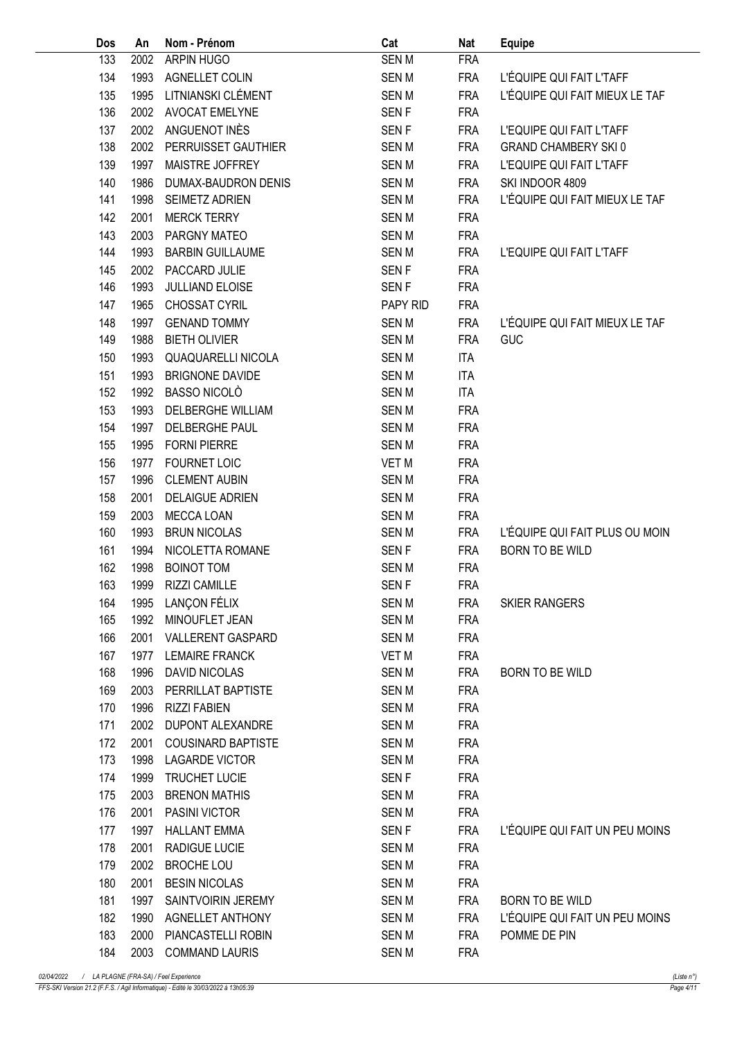| Dos | An   | Nom - Prénom              | Cat              | Nat        | <b>Equipe</b>                  |
|-----|------|---------------------------|------------------|------------|--------------------------------|
| 133 | 2002 | ARPIN HUGO                | <b>SENM</b>      | <b>FRA</b> |                                |
| 134 | 1993 | <b>AGNELLET COLIN</b>     | <b>SENM</b>      | <b>FRA</b> | L'ÉQUIPE QUI FAIT L'TAFF       |
| 135 | 1995 | LITNIANSKI CLÉMENT        | <b>SENM</b>      | <b>FRA</b> | L'ÉQUIPE QUI FAIT MIEUX LE TAF |
| 136 | 2002 | <b>AVOCAT EMELYNE</b>     | SEN <sub>F</sub> | <b>FRA</b> |                                |
| 137 | 2002 | ANGUENOT INÈS             | <b>SENF</b>      | <b>FRA</b> | L'EQUIPE QUI FAIT L'TAFF       |
| 138 | 2002 | PERRUISSET GAUTHIER       | <b>SENM</b>      | <b>FRA</b> | <b>GRAND CHAMBERY SKI0</b>     |
| 139 | 1997 | MAISTRE JOFFREY           | <b>SENM</b>      | <b>FRA</b> | L'EQUIPE QUI FAIT L'TAFF       |
| 140 | 1986 | DUMAX-BAUDRON DENIS       | <b>SENM</b>      | <b>FRA</b> | SKI INDOOR 4809                |
| 141 | 1998 | SEIMETZ ADRIEN            | <b>SENM</b>      | <b>FRA</b> | L'ÉQUIPE QUI FAIT MIEUX LE TAF |
| 142 | 2001 | <b>MERCK TERRY</b>        | <b>SENM</b>      | <b>FRA</b> |                                |
| 143 | 2003 | PARGNY MATEO              | <b>SENM</b>      | <b>FRA</b> |                                |
| 144 | 1993 | <b>BARBIN GUILLAUME</b>   | <b>SENM</b>      | <b>FRA</b> | L'EQUIPE QUI FAIT L'TAFF       |
| 145 | 2002 | PACCARD JULIE             | SEN <sub>F</sub> | <b>FRA</b> |                                |
| 146 | 1993 | JULLIAND ELOISE           | SEN <sub>F</sub> | <b>FRA</b> |                                |
| 147 | 1965 | CHOSSAT CYRIL             | PAPY RID         | <b>FRA</b> |                                |
| 148 | 1997 | <b>GENAND TOMMY</b>       | <b>SENM</b>      | <b>FRA</b> | L'ÉQUIPE QUI FAIT MIEUX LE TAF |
| 149 | 1988 | <b>BIETH OLIVIER</b>      | <b>SENM</b>      | <b>FRA</b> | <b>GUC</b>                     |
| 150 | 1993 | <b>QUAQUARELLI NICOLA</b> | <b>SENM</b>      | <b>ITA</b> |                                |
| 151 | 1993 | <b>BRIGNONE DAVIDE</b>    | <b>SENM</b>      | <b>ITA</b> |                                |
| 152 | 1992 | BASSO NICOLO              | <b>SENM</b>      | <b>ITA</b> |                                |
| 153 | 1993 | <b>DELBERGHE WILLIAM</b>  | <b>SENM</b>      | <b>FRA</b> |                                |
| 154 | 1997 | DELBERGHE PAUL            | <b>SENM</b>      | <b>FRA</b> |                                |
| 155 | 1995 | <b>FORNI PIERRE</b>       | <b>SENM</b>      | <b>FRA</b> |                                |
| 156 | 1977 | <b>FOURNET LOIC</b>       | <b>VET M</b>     | <b>FRA</b> |                                |
| 157 | 1996 | <b>CLEMENT AUBIN</b>      | <b>SENM</b>      | <b>FRA</b> |                                |
| 158 | 2001 | <b>DELAIGUE ADRIEN</b>    | <b>SENM</b>      | <b>FRA</b> |                                |
| 159 | 2003 | <b>MECCA LOAN</b>         | <b>SENM</b>      | <b>FRA</b> |                                |
| 160 | 1993 | <b>BRUN NICOLAS</b>       | <b>SENM</b>      | <b>FRA</b> | L'ÉQUIPE QUI FAIT PLUS OU MOIN |
| 161 | 1994 | NICOLETTA ROMANE          | SEN <sub>F</sub> | <b>FRA</b> | <b>BORN TO BE WILD</b>         |
| 162 | 1998 | <b>BOINOT TOM</b>         | <b>SENM</b>      | <b>FRA</b> |                                |
| 163 | 1999 | <b>RIZZI CAMILLE</b>      | <b>SENF</b>      | <b>FRA</b> |                                |
| 164 |      | 1995 LANÇON FÉLIX         | SEN M            | <b>FRA</b> | <b>SKIER RANGERS</b>           |
| 165 |      | 1992 MINOUFLET JEAN       | <b>SEN M</b>     | <b>FRA</b> |                                |
| 166 | 2001 | VALLERENT GASPARD         | <b>SENM</b>      | <b>FRA</b> |                                |
| 167 |      | 1977 LEMAIRE FRANCK       | VET M            | <b>FRA</b> |                                |
| 168 | 1996 | DAVID NICOLAS             | <b>SENM</b>      | <b>FRA</b> | <b>BORN TO BE WILD</b>         |
| 169 | 2003 | PERRILLAT BAPTISTE        | <b>SENM</b>      | <b>FRA</b> |                                |
| 170 | 1996 | RIZZI FABIEN              | <b>SEN M</b>     | <b>FRA</b> |                                |
| 171 | 2002 | DUPONT ALEXANDRE          | <b>SEN M</b>     | <b>FRA</b> |                                |
| 172 | 2001 | <b>COUSINARD BAPTISTE</b> | <b>SENM</b>      | <b>FRA</b> |                                |
| 173 | 1998 | <b>LAGARDE VICTOR</b>     | <b>SENM</b>      | <b>FRA</b> |                                |
| 174 | 1999 | TRUCHET LUCIE             | SEN <sub>F</sub> | <b>FRA</b> |                                |
| 175 | 2003 | <b>BRENON MATHIS</b>      | <b>SEN M</b>     | <b>FRA</b> |                                |
| 176 | 2001 | PASINI VICTOR             | <b>SENM</b>      | <b>FRA</b> |                                |
| 177 | 1997 | <b>HALLANT EMMA</b>       | SEN <sub>F</sub> | <b>FRA</b> | L'ÉQUIPE QUI FAIT UN PEU MOINS |
| 178 | 2001 | <b>RADIGUE LUCIE</b>      | <b>SENM</b>      | <b>FRA</b> |                                |
| 179 | 2002 | <b>BROCHE LOU</b>         | <b>SENM</b>      | <b>FRA</b> |                                |
| 180 | 2001 | <b>BESIN NICOLAS</b>      | <b>SENM</b>      | <b>FRA</b> |                                |
| 181 | 1997 | SAINTVOIRIN JEREMY        | <b>SENM</b>      | FRA        | BORN TO BE WILD                |
| 182 | 1990 | AGNELLET ANTHONY          | <b>SENM</b>      | <b>FRA</b> | L'ÉQUIPE QUI FAIT UN PEU MOINS |
| 183 | 2000 | PIANCASTELLI ROBIN        | <b>SENM</b>      | <b>FRA</b> | POMME DE PIN                   |
| 184 |      | 2003 COMMAND LAURIS       | <b>SENM</b>      | <b>FRA</b> |                                |
|     |      |                           |                  |            |                                |

FFS-SKI Version 21.2 (F.F.S. / Agil Informatique) - Edité le 30/03/2022 à 13h05:39 Page 4/11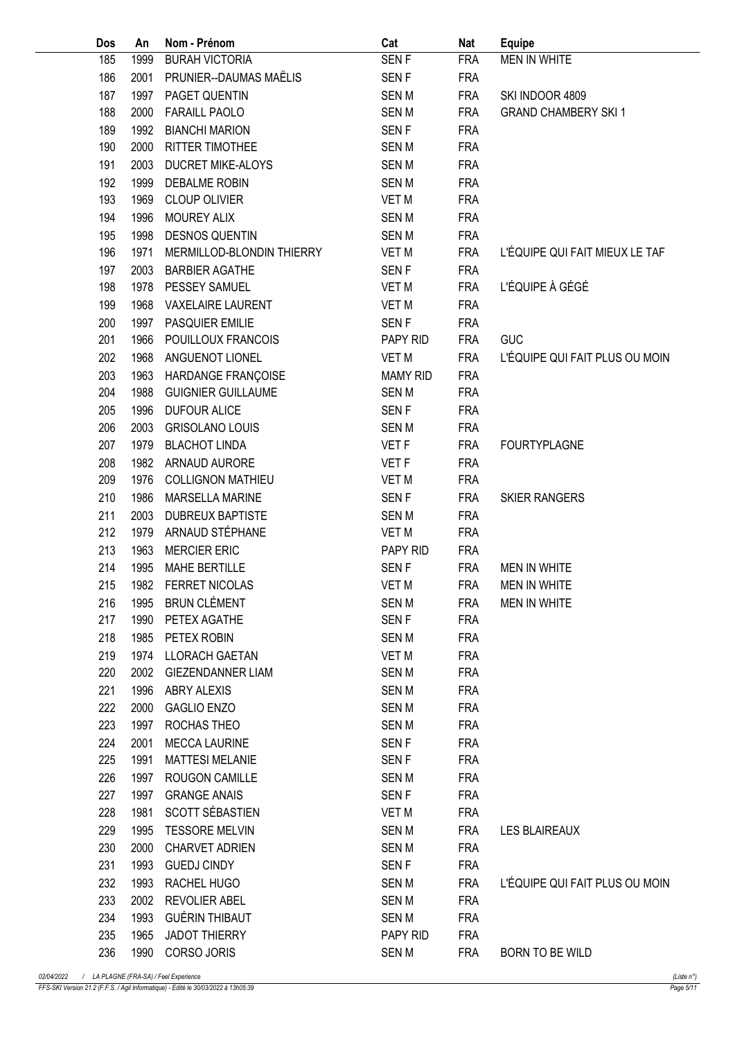| Dos        | An           | Nom - Prénom              | Cat                         | <b>Nat</b>               | <b>Equipe</b>                  |
|------------|--------------|---------------------------|-----------------------------|--------------------------|--------------------------------|
| 185        | 1999         | <b>BURAH VICTORIA</b>     | SEN <sub>F</sub>            | <b>FRA</b>               | <b>MEN IN WHITE</b>            |
| 186        | 2001         | PRUNIER--DAUMAS MAËLIS    | SEN <sub>F</sub>            | <b>FRA</b>               |                                |
| 187        | 1997         | PAGET QUENTIN             | <b>SENM</b>                 | <b>FRA</b>               | SKI INDOOR 4809                |
| 188        | 2000         | <b>FARAILL PAOLO</b>      | <b>SENM</b>                 | <b>FRA</b>               | <b>GRAND CHAMBERY SKI 1</b>    |
| 189        | 1992         | <b>BIANCHI MARION</b>     | <b>SENF</b>                 | <b>FRA</b>               |                                |
| 190        | 2000         | RITTER TIMOTHEE           | SEN M                       | <b>FRA</b>               |                                |
| 191        | 2003         | <b>DUCRET MIKE-ALOYS</b>  | <b>SENM</b>                 | <b>FRA</b>               |                                |
| 192        | 1999         | <b>DEBALME ROBIN</b>      | SEN M                       | <b>FRA</b>               |                                |
| 193        | 1969         | <b>CLOUP OLIVIER</b>      | <b>VET M</b>                | <b>FRA</b>               |                                |
| 194        | 1996         | MOUREY ALIX               | <b>SENM</b>                 | <b>FRA</b>               |                                |
| 195        | 1998         | <b>DESNOS QUENTIN</b>     | <b>SENM</b>                 | <b>FRA</b>               |                                |
| 196        | 1971         | MERMILLOD-BLONDIN THIERRY | <b>VET M</b>                | <b>FRA</b>               | L'ÉQUIPE QUI FAIT MIEUX LE TAF |
|            |              | <b>BARBIER AGATHE</b>     |                             |                          |                                |
| 197<br>198 | 2003<br>1978 | PESSEY SAMUEL             | <b>SENF</b><br><b>VET M</b> | <b>FRA</b><br><b>FRA</b> | L'ÉQUIPE À GÉGÉ                |
|            |              |                           |                             |                          |                                |
| 199        | 1968         | <b>VAXELAIRE LAURENT</b>  | <b>VET M</b>                | <b>FRA</b>               |                                |
| 200        | 1997         | <b>PASQUIER EMILIE</b>    | <b>SENF</b>                 | <b>FRA</b>               |                                |
| 201        | 1966         | POUILLOUX FRANCOIS        | PAPY RID                    | <b>FRA</b>               | <b>GUC</b>                     |
| 202        | 1968         | ANGUENOT LIONEL           | <b>VET M</b>                | <b>FRA</b>               | L'ÉQUIPE QUI FAIT PLUS OU MOIN |
| 203        | 1963         | HARDANGE FRANÇOISE        | <b>MAMY RID</b>             | <b>FRA</b>               |                                |
| 204        | 1988         | <b>GUIGNIER GUILLAUME</b> | <b>SENM</b>                 | <b>FRA</b>               |                                |
| 205        | 1996         | <b>DUFOUR ALICE</b>       | <b>SENF</b>                 | <b>FRA</b>               |                                |
| 206        | 2003         | <b>GRISOLANO LOUIS</b>    | SEN M                       | <b>FRA</b>               |                                |
| 207        | 1979         | <b>BLACHOT LINDA</b>      | VET F                       | <b>FRA</b>               | <b>FOURTYPLAGNE</b>            |
| 208        | 1982         | ARNAUD AURORE             | VET F                       | <b>FRA</b>               |                                |
| 209        | 1976         | <b>COLLIGNON MATHIEU</b>  | <b>VET M</b>                | <b>FRA</b>               |                                |
| 210        | 1986         | <b>MARSELLA MARINE</b>    | <b>SENF</b>                 | <b>FRA</b>               | <b>SKIER RANGERS</b>           |
| 211        | 2003         | <b>DUBREUX BAPTISTE</b>   | <b>SENM</b>                 | <b>FRA</b>               |                                |
| 212        | 1979         | ARNAUD STÉPHANE           | <b>VET M</b>                | <b>FRA</b>               |                                |
| 213        | 1963         | <b>MERCIER ERIC</b>       | PAPY RID                    | <b>FRA</b>               |                                |
| 214        | 1995         | <b>MAHE BERTILLE</b>      | <b>SENF</b>                 | <b>FRA</b>               | <b>MEN IN WHITE</b>            |
| 215        |              | 1982 FERRET NICOLAS       | VET M                       | FRA                      | <b>MEN IN WHITE</b>            |
| 216        |              | 1995 BRUN CLÉMENT         | SEN M                       | FRA                      | MEN IN WHITE                   |
| 217        | 1990         | PETEX AGATHE              | SEN <sub>F</sub>            | FRA                      |                                |
| 218        | 1985         | PETEX ROBIN               | SEN M                       | <b>FRA</b>               |                                |
| 219        | 1974         | LLORACH GAETAN            | VET M                       | <b>FRA</b>               |                                |
| 220        | 2002         | <b>GIEZENDANNER LIAM</b>  | <b>SENM</b>                 | <b>FRA</b>               |                                |
| 221        | 1996         | <b>ABRY ALEXIS</b>        | SEN M                       | <b>FRA</b>               |                                |
| 222        | 2000         | <b>GAGLIO ENZO</b>        | <b>SEN M</b>                | <b>FRA</b>               |                                |
| 223        | 1997         | ROCHAS THEO               | SEN M                       | <b>FRA</b>               |                                |
| 224        | 2001         | <b>MECCA LAURINE</b>      | SEN <sub>F</sub>            | <b>FRA</b>               |                                |
| 225        | 1991         | <b>MATTESI MELANIE</b>    | SEN <sub>F</sub>            | <b>FRA</b>               |                                |
| 226        | 1997         | ROUGON CAMILLE            | SEN M                       | <b>FRA</b>               |                                |
| 227        | 1997         | <b>GRANGE ANAIS</b>       | SEN F                       | <b>FRA</b>               |                                |
| 228        | 1981         | SCOTT SÉBASTIEN           | VET M                       | <b>FRA</b>               |                                |
| 229        | 1995         | <b>TESSORE MELVIN</b>     | <b>SEN M</b>                | <b>FRA</b>               | <b>LES BLAIREAUX</b>           |
| 230        | 2000         | <b>CHARVET ADRIEN</b>     | <b>SEN M</b>                | <b>FRA</b>               |                                |
| 231        | 1993         |                           | SEN <sub>F</sub>            |                          |                                |
|            |              | <b>GUEDJ CINDY</b>        |                             | <b>FRA</b>               |                                |
| 232        | 1993         | RACHEL HUGO               | SEN M                       | FRA                      | L'ÉQUIPE QUI FAIT PLUS OU MOIN |
| 233        | 2002         | <b>REVOLIER ABEL</b>      | <b>SEN M</b>                | <b>FRA</b>               |                                |
| 234        | 1993         | <b>GUÉRIN THIBAUT</b>     | <b>SEN M</b>                | <b>FRA</b>               |                                |
| 235        | 1965         | <b>JADOT THIERRY</b>      | PAPY RID                    | <b>FRA</b>               |                                |
| 236        |              | 1990 CORSO JORIS          | SEN M                       | <b>FRA</b>               | BORN TO BE WILD                |

FFS-SKI Version 21.2 (F.F.S. / Agil Informatique) - Edité le 30/03/2022 à 13h05:39 Page 5/11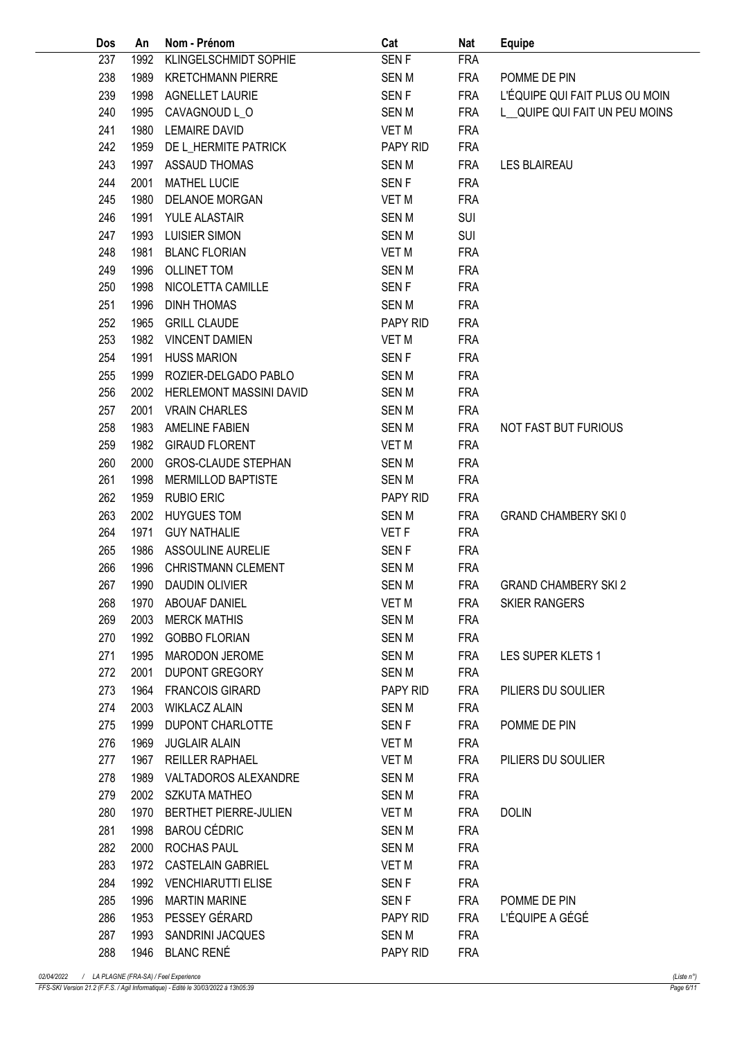| Dos | An   | Nom - Prénom               | Cat              | <b>Nat</b>               | <b>Equipe</b>                  |
|-----|------|----------------------------|------------------|--------------------------|--------------------------------|
| 237 | 1992 | KLINGELSCHMIDT SOPHIE      | SEN <sub>F</sub> | <b>FRA</b>               |                                |
| 238 | 1989 | <b>KRETCHMANN PIERRE</b>   | SEN M            | <b>FRA</b>               | POMME DE PIN                   |
| 239 | 1998 | <b>AGNELLET LAURIE</b>     | <b>SENF</b>      | <b>FRA</b>               | L'ÉQUIPE QUI FAIT PLUS OU MOIN |
| 240 | 1995 | CAVAGNOUD L_O              | SEN M            | <b>FRA</b>               | L QUIPE QUI FAIT UN PEU MOINS  |
| 241 | 1980 | <b>LEMAIRE DAVID</b>       | <b>VET M</b>     | <b>FRA</b>               |                                |
| 242 | 1959 | DE L_HERMITE PATRICK       | PAPY RID         | <b>FRA</b>               |                                |
| 243 | 1997 | <b>ASSAUD THOMAS</b>       | <b>SENM</b>      | <b>FRA</b>               | <b>LES BLAIREAU</b>            |
| 244 | 2001 | <b>MATHEL LUCIE</b>        | <b>SENF</b>      | <b>FRA</b>               |                                |
| 245 | 1980 | DELANOE MORGAN             | VET M            | <b>FRA</b>               |                                |
| 246 | 1991 | YULE ALASTAIR              | <b>SEN M</b>     | SUI                      |                                |
| 247 | 1993 | <b>LUISIER SIMON</b>       | <b>SENM</b>      | <b>SUI</b>               |                                |
| 248 | 1981 | <b>BLANC FLORIAN</b>       | <b>VET M</b>     | <b>FRA</b>               |                                |
| 249 | 1996 | <b>OLLINET TOM</b>         | <b>SENM</b>      | <b>FRA</b>               |                                |
| 250 | 1998 | NICOLETTA CAMILLE          | <b>SENF</b>      | <b>FRA</b>               |                                |
| 251 | 1996 | <b>DINH THOMAS</b>         | <b>SENM</b>      | <b>FRA</b>               |                                |
| 252 | 1965 | <b>GRILL CLAUDE</b>        | PAPY RID         | <b>FRA</b>               |                                |
| 253 | 1982 | <b>VINCENT DAMIEN</b>      | <b>VET M</b>     | <b>FRA</b>               |                                |
| 254 | 1991 | <b>HUSS MARION</b>         | <b>SENF</b>      | <b>FRA</b>               |                                |
| 255 | 1999 | ROZIER-DELGADO PABLO       | SEN M            | <b>FRA</b>               |                                |
| 256 | 2002 | HERLEMONT MASSINI DAVID    | <b>SEN M</b>     | <b>FRA</b>               |                                |
| 257 | 2001 | <b>VRAIN CHARLES</b>       | <b>SENM</b>      | <b>FRA</b>               |                                |
| 258 | 1983 | <b>AMELINE FABIEN</b>      | SEN M            | <b>FRA</b>               | NOT FAST BUT FURIOUS           |
| 259 | 1982 | <b>GIRAUD FLORENT</b>      | <b>VET M</b>     | <b>FRA</b>               |                                |
| 260 | 2000 | <b>GROS-CLAUDE STEPHAN</b> | <b>SENM</b>      | <b>FRA</b>               |                                |
| 261 | 1998 | MERMILLOD BAPTISTE         | <b>SENM</b>      | <b>FRA</b>               |                                |
| 262 | 1959 | <b>RUBIO ERIC</b>          | PAPY RID         | <b>FRA</b>               |                                |
| 263 | 2002 | <b>HUYGUES TOM</b>         | <b>SENM</b>      | <b>FRA</b>               | <b>GRAND CHAMBERY SKI0</b>     |
| 264 | 1971 | <b>GUY NATHALIE</b>        | VET F            | <b>FRA</b>               |                                |
| 265 | 1986 | ASSOULINE AURELIE          | SEN <sub>F</sub> | <b>FRA</b>               |                                |
| 266 | 1996 | <b>CHRISTMANN CLEMENT</b>  | <b>SENM</b>      | <b>FRA</b>               |                                |
| 267 | 1990 | DAUDIN OLIVIER             | <b>SENM</b>      | <b>FRA</b>               | <b>GRAND CHAMBERY SKI 2</b>    |
| 268 |      | 1970 ABOUAF DANIEL         | VET M            | FRA                      | <b>SKIER RANGERS</b>           |
| 269 | 2003 | <b>MERCK MATHIS</b>        | <b>SENM</b>      | <b>FRA</b>               |                                |
| 270 | 1992 | <b>GOBBO FLORIAN</b>       | SEN M            | <b>FRA</b>               |                                |
| 271 | 1995 | <b>MARODON JEROME</b>      | <b>SEN M</b>     | <b>FRA</b>               | LES SUPER KLETS 1              |
| 272 | 2001 | <b>DUPONT GREGORY</b>      | <b>SEN M</b>     | <b>FRA</b>               |                                |
| 273 | 1964 | <b>FRANCOIS GIRARD</b>     | PAPY RID         | FRA                      | PILIERS DU SOULIER             |
| 274 | 2003 | <b>WIKLACZ ALAIN</b>       | SEN M            | <b>FRA</b>               |                                |
| 275 | 1999 | DUPONT CHARLOTTE           | SEN F            | <b>FRA</b>               | POMME DE PIN                   |
| 276 | 1969 | <b>JUGLAIR ALAIN</b>       | VET M            | <b>FRA</b>               |                                |
| 277 | 1967 | REILLER RAPHAEL            | VET M            | FRA                      | PILIERS DU SOULIER             |
| 278 | 1989 | VALTADOROS ALEXANDRE       | SEN M            | <b>FRA</b>               |                                |
| 279 |      | 2002 SZKUTA MATHEO         | SEN M            | <b>FRA</b>               |                                |
| 280 | 1970 | BERTHET PIERRE-JULIEN      | VET M            | <b>FRA</b>               | <b>DOLIN</b>                   |
| 281 | 1998 | <b>BAROU CÉDRIC</b>        |                  |                          |                                |
| 282 | 2000 | ROCHAS PAUL                | SEN M<br>SEN M   | <b>FRA</b><br><b>FRA</b> |                                |
| 283 | 1972 | CASTELAIN GABRIEL          | VET M            | <b>FRA</b>               |                                |
| 284 | 1992 | <b>VENCHIARUTTI ELISE</b>  |                  |                          |                                |
| 285 | 1996 | <b>MARTIN MARINE</b>       | SEN F<br>SEN F   | <b>FRA</b>               | POMME DE PIN                   |
| 286 | 1953 | PESSEY GÉRARD              | PAPY RID         | FRA<br><b>FRA</b>        | L'ÉQUIPE A GÉGÉ                |
| 287 | 1993 | SANDRINI JACQUES           |                  | <b>FRA</b>               |                                |
|     |      |                            | SEN M            |                          |                                |
| 288 |      | 1946 BLANC RENÉ            | PAPY RID         | <b>FRA</b>               |                                |

FFS-SKI Version 21.2 (F.F.S. / Agil Informatique) - Edité le 30/03/2022 à 13h05:39 Page 6/11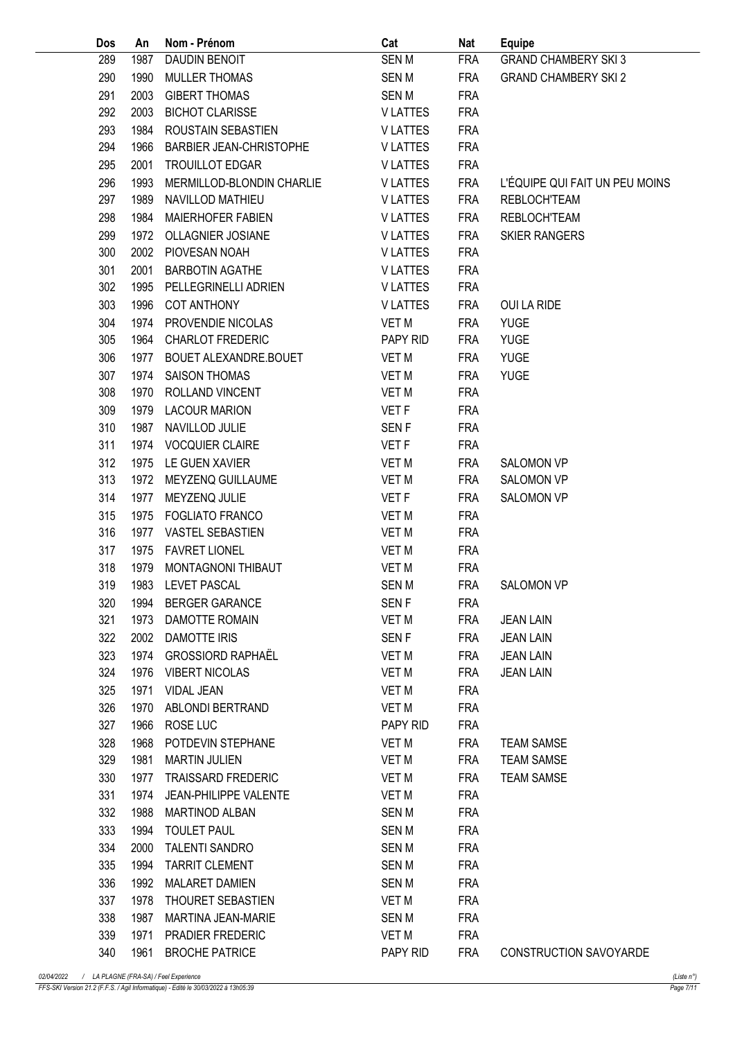| Dos | An   | Nom - Prénom                   | Cat              | Nat        | <b>Equipe</b>                  |
|-----|------|--------------------------------|------------------|------------|--------------------------------|
| 289 | 1987 | DAUDIN BENOIT                  | <b>SENM</b>      | <b>FRA</b> | <b>GRAND CHAMBERY SKI 3</b>    |
| 290 | 1990 | <b>MULLER THOMAS</b>           | SEN M            | <b>FRA</b> | <b>GRAND CHAMBERY SKI 2</b>    |
| 291 | 2003 | <b>GIBERT THOMAS</b>           | <b>SENM</b>      | <b>FRA</b> |                                |
| 292 | 2003 | <b>BICHOT CLARISSE</b>         | <b>VLATTES</b>   | <b>FRA</b> |                                |
| 293 | 1984 | ROUSTAIN SEBASTIEN             | <b>VLATTES</b>   | <b>FRA</b> |                                |
| 294 | 1966 | <b>BARBIER JEAN-CHRISTOPHE</b> | <b>VLATTES</b>   | <b>FRA</b> |                                |
| 295 | 2001 | <b>TROUILLOT EDGAR</b>         | <b>VLATTES</b>   | <b>FRA</b> |                                |
| 296 | 1993 | MERMILLOD-BLONDIN CHARLIE      | <b>VLATTES</b>   | <b>FRA</b> | L'ÉQUIPE QUI FAIT UN PEU MOINS |
| 297 | 1989 | NAVILLOD MATHIEU               | <b>VLATTES</b>   | <b>FRA</b> | <b>REBLOCH'TEAM</b>            |
| 298 | 1984 | <b>MAIERHOFER FABIEN</b>       | <b>VLATTES</b>   | <b>FRA</b> | <b>REBLOCH'TEAM</b>            |
| 299 | 1972 | <b>OLLAGNIER JOSIANE</b>       | <b>VLATTES</b>   | <b>FRA</b> | <b>SKIER RANGERS</b>           |
| 300 | 2002 | PIOVESAN NOAH                  | <b>VLATTES</b>   | <b>FRA</b> |                                |
| 301 | 2001 | <b>BARBOTIN AGATHE</b>         | <b>VLATTES</b>   | <b>FRA</b> |                                |
| 302 | 1995 | PELLEGRINELLI ADRIEN           | <b>VLATTES</b>   | <b>FRA</b> |                                |
| 303 | 1996 | <b>COT ANTHONY</b>             | <b>VLATTES</b>   | <b>FRA</b> | OUI LA RIDE                    |
| 304 | 1974 | PROVENDIE NICOLAS              | <b>VET M</b>     | <b>FRA</b> | <b>YUGE</b>                    |
|     |      | <b>CHARLOT FREDERIC</b>        | PAPY RID         |            |                                |
| 305 | 1964 |                                |                  | <b>FRA</b> | <b>YUGE</b>                    |
| 306 | 1977 | BOUET ALEXANDRE.BOUET          | VET M            | <b>FRA</b> | <b>YUGE</b>                    |
| 307 | 1974 | <b>SAISON THOMAS</b>           | VET M            | <b>FRA</b> | <b>YUGE</b>                    |
| 308 | 1970 | <b>ROLLAND VINCENT</b>         | VET M            | <b>FRA</b> |                                |
| 309 | 1979 | <b>LACOUR MARION</b>           | <b>VET F</b>     | <b>FRA</b> |                                |
| 310 | 1987 | NAVILLOD JULIE                 | SEN F            | <b>FRA</b> |                                |
| 311 | 1974 | <b>VOCQUIER CLAIRE</b>         | VET F            | <b>FRA</b> |                                |
| 312 | 1975 | LE GUEN XAVIER                 | <b>VET M</b>     | <b>FRA</b> | <b>SALOMON VP</b>              |
| 313 | 1972 | MEYZENQ GUILLAUME              | VET M            | <b>FRA</b> | <b>SALOMON VP</b>              |
| 314 | 1977 | MEYZENQ JULIE                  | VET F            | <b>FRA</b> | <b>SALOMON VP</b>              |
| 315 | 1975 | <b>FOGLIATO FRANCO</b>         | VET M            | <b>FRA</b> |                                |
| 316 | 1977 | VASTEL SEBASTIEN               | <b>VET M</b>     | <b>FRA</b> |                                |
| 317 | 1975 | <b>FAVRET LIONEL</b>           | VET M            | <b>FRA</b> |                                |
| 318 | 1979 | MONTAGNONI THIBAUT             | VET M            | <b>FRA</b> |                                |
| 319 |      | 1983 LEVET PASCAL              | <b>SENM</b>      | <b>FRA</b> | <b>SALOMON VP</b>              |
| 320 |      | 1994 BERGER GARANCE            | SEN F            | FRA        |                                |
| 321 |      | 1973 DAMOTTE ROMAIN            | VET M            | FRA        | <b>JEAN LAIN</b>               |
| 322 |      | 2002 DAMOTTE IRIS              | SEN <sub>F</sub> | FRA        | <b>JEAN LAIN</b>               |
| 323 |      | 1974 GROSSIORD RAPHAËL         | VET M            | <b>FRA</b> | <b>JEAN LAIN</b>               |
| 324 | 1976 | <b>VIBERT NICOLAS</b>          | VET M            | <b>FRA</b> | <b>JEAN LAIN</b>               |
| 325 | 1971 | <b>VIDAL JEAN</b>              | VET M            | <b>FRA</b> |                                |
| 326 | 1970 | ABLONDI BERTRAND               | VET M            | <b>FRA</b> |                                |
| 327 | 1966 | ROSE LUC                       | PAPY RID         | <b>FRA</b> |                                |
| 328 | 1968 | POTDEVIN STEPHANE              | VET M            | FRA        | <b>TEAM SAMSE</b>              |
| 329 | 1981 | MARTIN JULIEN                  | VET M            | FRA        | <b>TEAM SAMSE</b>              |
| 330 | 1977 | TRAISSARD FREDERIC             | VET M            | <b>FRA</b> | <b>TEAM SAMSE</b>              |
| 331 | 1974 | JEAN-PHILIPPE VALENTE          | VET M            | <b>FRA</b> |                                |
| 332 | 1988 | <b>MARTINOD ALBAN</b>          | SEN M            | <b>FRA</b> |                                |
| 333 | 1994 | <b>TOULET PAUL</b>             | SEN M            | <b>FRA</b> |                                |
| 334 | 2000 | TALENTI SANDRO                 | SEN M            | <b>FRA</b> |                                |
| 335 | 1994 | <b>TARRIT CLEMENT</b>          | SEN M            | <b>FRA</b> |                                |
| 336 | 1992 | <b>MALARET DAMIEN</b>          | SEN M            | <b>FRA</b> |                                |
| 337 | 1978 | THOURET SEBASTIEN              | VET M            | <b>FRA</b> |                                |
| 338 | 1987 | MARTINA JEAN-MARIE             | SEN M            | <b>FRA</b> |                                |
| 339 | 1971 | <b>PRADIER FREDERIC</b>        | VET M            | <b>FRA</b> |                                |
| 340 |      | 1961 BROCHE PATRICE            | PAPY RID         | FRA        | CONSTRUCTION SAVOYARDE         |
|     |      |                                |                  |            |                                |

FFS-SKI Version 21.2 (F.F.S. / Agil Informatique) - Edité le 30/03/2022 à 13h05:39 Page 7/11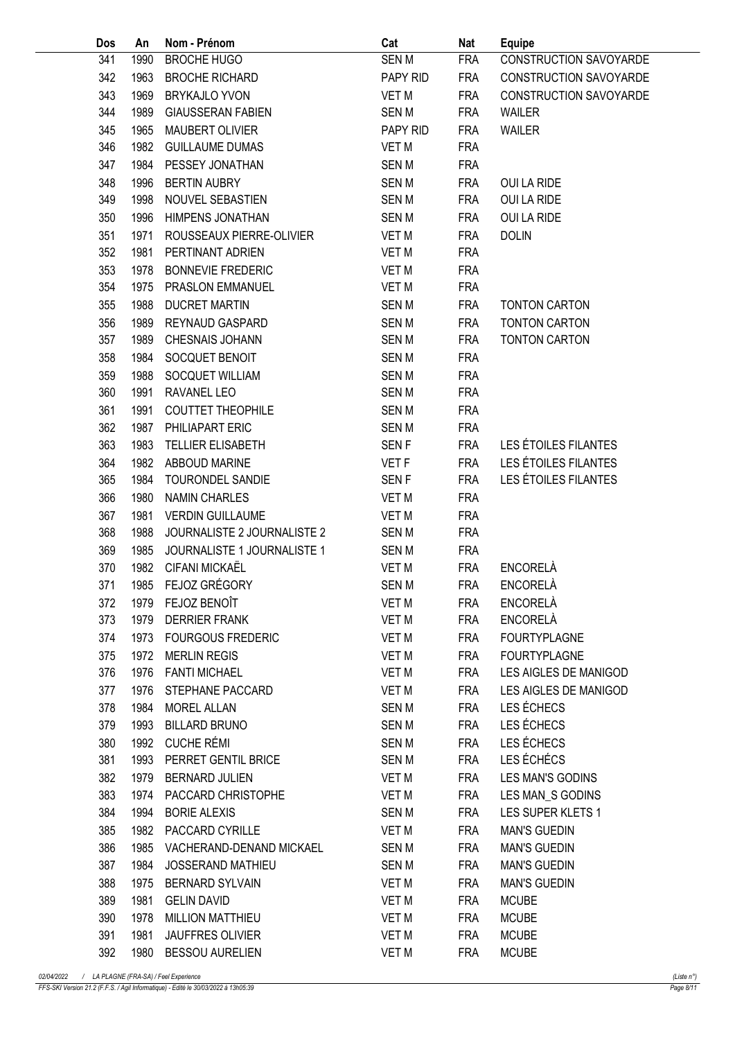| Dos | An   | Nom - Prénom                  | Cat              | Nat        | <b>Equipe</b>          |
|-----|------|-------------------------------|------------------|------------|------------------------|
| 341 | 1990 | <b>BROCHE HUGO</b>            | <b>SENM</b>      | <b>FRA</b> | CONSTRUCTION SAVOYARDE |
| 342 | 1963 | <b>BROCHE RICHARD</b>         | PAPY RID         | <b>FRA</b> | CONSTRUCTION SAVOYARDE |
| 343 | 1969 | <b>BRYKAJLO YVON</b>          | <b>VET M</b>     | <b>FRA</b> | CONSTRUCTION SAVOYARDE |
| 344 | 1989 | <b>GIAUSSERAN FABIEN</b>      | <b>SENM</b>      | <b>FRA</b> | <b>WAILER</b>          |
| 345 | 1965 | MAUBERT OLIVIER               | PAPY RID         | <b>FRA</b> | <b>WAILER</b>          |
| 346 | 1982 | <b>GUILLAUME DUMAS</b>        | <b>VET M</b>     | <b>FRA</b> |                        |
| 347 | 1984 | PESSEY JONATHAN               | <b>SENM</b>      | <b>FRA</b> |                        |
| 348 | 1996 | <b>BERTIN AUBRY</b>           | <b>SENM</b>      | <b>FRA</b> | <b>OUI LA RIDE</b>     |
| 349 | 1998 | NOUVEL SEBASTIEN              | <b>SENM</b>      | <b>FRA</b> | <b>OUI LA RIDE</b>     |
| 350 | 1996 | HIMPENS JONATHAN              | <b>SENM</b>      | <b>FRA</b> | OUI LA RIDE            |
| 351 | 1971 | ROUSSEAUX PIERRE-OLIVIER      | <b>VET M</b>     | <b>FRA</b> | <b>DOLIN</b>           |
| 352 | 1981 | PERTINANT ADRIEN              | VET M            | <b>FRA</b> |                        |
| 353 | 1978 | <b>BONNEVIE FREDERIC</b>      | <b>VET M</b>     | <b>FRA</b> |                        |
| 354 | 1975 | PRASLON EMMANUEL              | <b>VET M</b>     | <b>FRA</b> |                        |
| 355 | 1988 | <b>DUCRET MARTIN</b>          | <b>SENM</b>      | <b>FRA</b> | <b>TONTON CARTON</b>   |
| 356 | 1989 | REYNAUD GASPARD               | <b>SENM</b>      | <b>FRA</b> | <b>TONTON CARTON</b>   |
| 357 | 1989 | CHESNAIS JOHANN               | <b>SENM</b>      | <b>FRA</b> | <b>TONTON CARTON</b>   |
| 358 | 1984 | SOCQUET BENOIT                | <b>SENM</b>      | <b>FRA</b> |                        |
| 359 | 1988 | SOCQUET WILLIAM               | <b>SENM</b>      | <b>FRA</b> |                        |
| 360 | 1991 | RAVANEL LEO                   | <b>SENM</b>      | <b>FRA</b> |                        |
| 361 | 1991 | <b>COUTTET THEOPHILE</b>      | <b>SENM</b>      | <b>FRA</b> |                        |
| 362 | 1987 | PHILIAPART ERIC               | <b>SENM</b>      | <b>FRA</b> |                        |
| 363 | 1983 | TELLIER ELISABETH             | SEN <sub>F</sub> | <b>FRA</b> | LES ÉTOILES FILANTES   |
| 364 | 1982 | ABBOUD MARINE                 | VET F            | <b>FRA</b> | LES ÉTOILES FILANTES   |
| 365 | 1984 | TOURONDEL SANDIE              | SEN <sub>F</sub> | <b>FRA</b> | LES ÉTOILES FILANTES   |
| 366 | 1980 | <b>NAMIN CHARLES</b>          | <b>VET M</b>     | <b>FRA</b> |                        |
| 367 | 1981 | <b>VERDIN GUILLAUME</b>       | <b>VET M</b>     | <b>FRA</b> |                        |
| 368 | 1988 | JOURNALISTE 2 JOURNALISTE 2   | <b>SENM</b>      | <b>FRA</b> |                        |
| 369 | 1985 | JOURNALISTE 1 JOURNALISTE 1   | <b>SENM</b>      | <b>FRA</b> |                        |
| 370 | 1982 | CIFANI MICKAËL                | VET M            | <b>FRA</b> | <b>ENCORELÀ</b>        |
| 371 |      | 1985 FEJOZ GRÉGORY            | <b>SENM</b>      | <b>FRA</b> | ENCORELÀ               |
|     |      | 372 1979 FEJOZ BENOÎT         | VET M            | FRA        | ENCORELÀ               |
| 373 |      | 1979 DERRIER FRANK            | VET M            | <b>FRA</b> | ENCORELÀ               |
| 374 | 1973 | <b>FOURGOUS FREDERIC</b>      | VET M            | <b>FRA</b> | <b>FOURTYPLAGNE</b>    |
| 375 | 1972 | <b>MERLIN REGIS</b>           | <b>VET M</b>     | <b>FRA</b> | <b>FOURTYPLAGNE</b>    |
| 376 | 1976 | <b>FANTI MICHAEL</b>          | <b>VET M</b>     | <b>FRA</b> | LES AIGLES DE MANIGOD  |
| 377 | 1976 | STEPHANE PACCARD              | VET M            | <b>FRA</b> | LES AIGLES DE MANIGOD  |
| 378 | 1984 | MOREL ALLAN                   | SEN M            | <b>FRA</b> | LES ÉCHECS             |
| 379 | 1993 | <b>BILLARD BRUNO</b>          | <b>SENM</b>      | <b>FRA</b> | LES ÉCHECS             |
| 380 | 1992 | CUCHE RÉMI                    | <b>SEN M</b>     | <b>FRA</b> | LES ÉCHECS             |
| 381 |      | 1993 PERRET GENTIL BRICE      | SEN M            | <b>FRA</b> | LES ÉCHÉCS             |
| 382 | 1979 | BERNARD JULIEN                | VET M            | <b>FRA</b> | LES MAN'S GODINS       |
| 383 |      | 1974 PACCARD CHRISTOPHE       | VET M            | <b>FRA</b> | LES MAN_S GODINS       |
| 384 | 1994 | <b>BORIE ALEXIS</b>           | SEN M            | <b>FRA</b> | LES SUPER KLETS 1      |
| 385 | 1982 | PACCARD CYRILLE               | VET M            | <b>FRA</b> | <b>MAN'S GUEDIN</b>    |
| 386 |      | 1985 VACHERAND-DENAND MICKAEL | <b>SEN M</b>     | <b>FRA</b> | <b>MAN'S GUEDIN</b>    |
| 387 | 1984 | <b>JOSSERAND MATHIEU</b>      | SEN M            | <b>FRA</b> | <b>MAN'S GUEDIN</b>    |
| 388 | 1975 | BERNARD SYLVAIN               | VET M            | <b>FRA</b> | <b>MAN'S GUEDIN</b>    |
| 389 | 1981 | <b>GELIN DAVID</b>            | VET M            | <b>FRA</b> | <b>MCUBE</b>           |
| 390 | 1978 | <b>MILLION MATTHIEU</b>       | <b>VET M</b>     | <b>FRA</b> | <b>MCUBE</b>           |
| 391 | 1981 | <b>JAUFFRES OLIVIER</b>       | VET M            | <b>FRA</b> | <b>MCUBE</b>           |
| 392 |      | 1980 BESSOU AURELIEN          | VET M            | <b>FRA</b> | <b>MCUBE</b>           |
|     |      |                               |                  |            |                        |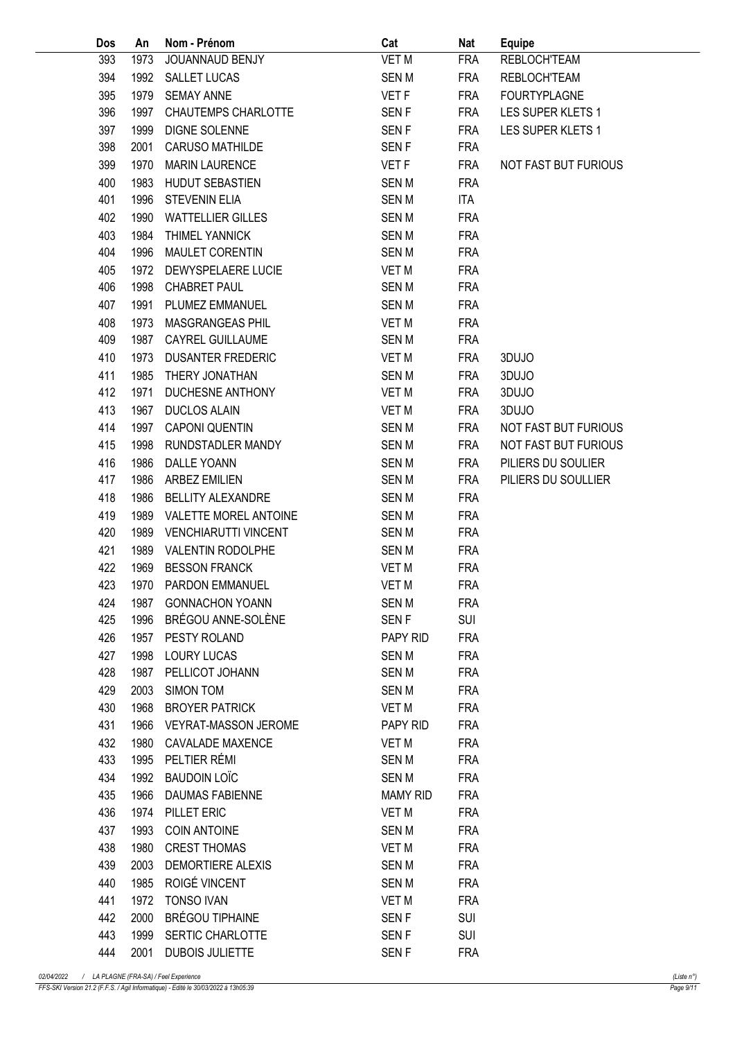| Dos | An   | Nom - Prénom                | Cat              | <b>Nat</b> | <b>Equipe</b>        |
|-----|------|-----------------------------|------------------|------------|----------------------|
| 393 | 1973 | JOUANNAUD BENJY             | <b>VET M</b>     | <b>FRA</b> | <b>REBLOCH'TEAM</b>  |
| 394 | 1992 | SALLET LUCAS                | <b>SENM</b>      | <b>FRA</b> | REBLOCH'TEAM         |
| 395 | 1979 | <b>SEMAY ANNE</b>           | VET <sub>F</sub> | <b>FRA</b> | <b>FOURTYPLAGNE</b>  |
| 396 | 1997 | <b>CHAUTEMPS CHARLOTTE</b>  | <b>SENF</b>      | <b>FRA</b> | LES SUPER KLETS 1    |
| 397 | 1999 | <b>DIGNE SOLENNE</b>        | <b>SENF</b>      | <b>FRA</b> | LES SUPER KLETS 1    |
| 398 | 2001 | <b>CARUSO MATHILDE</b>      | <b>SENF</b>      | <b>FRA</b> |                      |
| 399 | 1970 | <b>MARIN LAURENCE</b>       | VET <sub>F</sub> | <b>FRA</b> | NOT FAST BUT FURIOUS |
| 400 | 1983 | <b>HUDUT SEBASTIEN</b>      | <b>SENM</b>      | <b>FRA</b> |                      |
| 401 | 1996 | <b>STEVENIN ELIA</b>        | <b>SENM</b>      | <b>ITA</b> |                      |
| 402 | 1990 | <b>WATTELLIER GILLES</b>    | <b>SENM</b>      | <b>FRA</b> |                      |
| 403 | 1984 | <b>THIMEL YANNICK</b>       | <b>SENM</b>      | <b>FRA</b> |                      |
| 404 | 1996 | <b>MAULET CORENTIN</b>      | <b>SENM</b>      | <b>FRA</b> |                      |
| 405 | 1972 | DEWYSPELAERE LUCIE          | <b>VET M</b>     | <b>FRA</b> |                      |
| 406 | 1998 | <b>CHABRET PAUL</b>         | <b>SENM</b>      | <b>FRA</b> |                      |
| 407 | 1991 | PLUMEZ EMMANUEL             | <b>SENM</b>      | <b>FRA</b> |                      |
| 408 | 1973 | MASGRANGEAS PHIL            | VET M            | <b>FRA</b> |                      |
| 409 | 1987 | CAYREL GUILLAUME            | <b>SENM</b>      | <b>FRA</b> |                      |
| 410 | 1973 | <b>DUSANTER FREDERIC</b>    | VET M            | <b>FRA</b> | 3DUJO                |
| 411 | 1985 | THERY JONATHAN              | <b>SENM</b>      | <b>FRA</b> | 3DUJO                |
| 412 | 1971 | DUCHESNE ANTHONY            | VET M            | <b>FRA</b> | 3DUJO                |
| 413 | 1967 | <b>DUCLOS ALAIN</b>         | VET M            | <b>FRA</b> | 3DUJO                |
| 414 | 1997 | <b>CAPONI QUENTIN</b>       | <b>SENM</b>      | <b>FRA</b> | NOT FAST BUT FURIOUS |
| 415 | 1998 | RUNDSTADLER MANDY           | <b>SENM</b>      | <b>FRA</b> | NOT FAST BUT FURIOUS |
| 416 | 1986 | DALLE YOANN                 | <b>SENM</b>      | <b>FRA</b> | PILIERS DU SOULIER   |
| 417 | 1986 | <b>ARBEZ EMILIEN</b>        | <b>SENM</b>      | <b>FRA</b> | PILIERS DU SOULLIER  |
| 418 | 1986 | <b>BELLITY ALEXANDRE</b>    | <b>SENM</b>      | <b>FRA</b> |                      |
| 419 | 1989 | VALETTE MOREL ANTOINE       | <b>SEN M</b>     | <b>FRA</b> |                      |
| 420 | 1989 | <b>VENCHIARUTTI VINCENT</b> | <b>SENM</b>      | <b>FRA</b> |                      |
| 421 | 1989 | <b>VALENTIN RODOLPHE</b>    | <b>SENM</b>      | <b>FRA</b> |                      |
| 422 | 1969 | <b>BESSON FRANCK</b>        | VET M            | <b>FRA</b> |                      |
| 423 | 1970 | <b>PARDON EMMANUEL</b>      | <b>VET M</b>     | <b>FRA</b> |                      |
| 424 |      | 1987 GONNACHON YOANN        | SEN M            | <b>FRA</b> |                      |
| 425 | 1996 | BRÉGOU ANNE-SOLÈNE          | SEN F            | SUI        |                      |
| 426 | 1957 | PESTY ROLAND                | PAPY RID         | <b>FRA</b> |                      |
| 427 | 1998 | <b>LOURY LUCAS</b>          | <b>SEN M</b>     | <b>FRA</b> |                      |
| 428 | 1987 | PELLICOT JOHANN             | <b>SENM</b>      | <b>FRA</b> |                      |
| 429 | 2003 | SIMON TOM                   | <b>SEN M</b>     | <b>FRA</b> |                      |
| 430 | 1968 | <b>BROYER PATRICK</b>       | VET M            | <b>FRA</b> |                      |
| 431 | 1966 | VEYRAT-MASSON JEROME        | PAPY RID         | <b>FRA</b> |                      |
| 432 | 1980 | <b>CAVALADE MAXENCE</b>     | VET M            | <b>FRA</b> |                      |
| 433 | 1995 | PELTIER RÉMI                | SEN M            | <b>FRA</b> |                      |
| 434 | 1992 | <b>BAUDOIN LOIC</b>         | <b>SEN M</b>     | <b>FRA</b> |                      |
| 435 | 1966 | DAUMAS FABIENNE             | <b>MAMY RID</b>  | <b>FRA</b> |                      |
| 436 | 1974 | PILLET ERIC                 | VET M            | <b>FRA</b> |                      |
| 437 | 1993 | <b>COIN ANTOINE</b>         | <b>SEN M</b>     | <b>FRA</b> |                      |
| 438 | 1980 | <b>CREST THOMAS</b>         | VET M            | <b>FRA</b> |                      |
| 439 | 2003 | <b>DEMORTIERE ALEXIS</b>    | SEN M            | <b>FRA</b> |                      |
| 440 | 1985 | ROIGÉ VINCENT               | <b>SENM</b>      | <b>FRA</b> |                      |
| 441 | 1972 | TONSO IVAN                  | VET M            | <b>FRA</b> |                      |
| 442 | 2000 | BRÉGOU TIPHAINE             | SEN <sub>F</sub> | <b>SUI</b> |                      |
| 443 | 1999 | SERTIC CHARLOTTE            | SEN <sub>F</sub> | <b>SUI</b> |                      |
| 444 | 2001 | <b>DUBOIS JULIETTE</b>      | SEN <sub>F</sub> | <b>FRA</b> |                      |
|     |      |                             |                  |            |                      |

FFS-SKI Version 21.2 (F.F.S. / Agil Informatique) - Edité le 30/03/2022 à 13h05:39 Page 9/11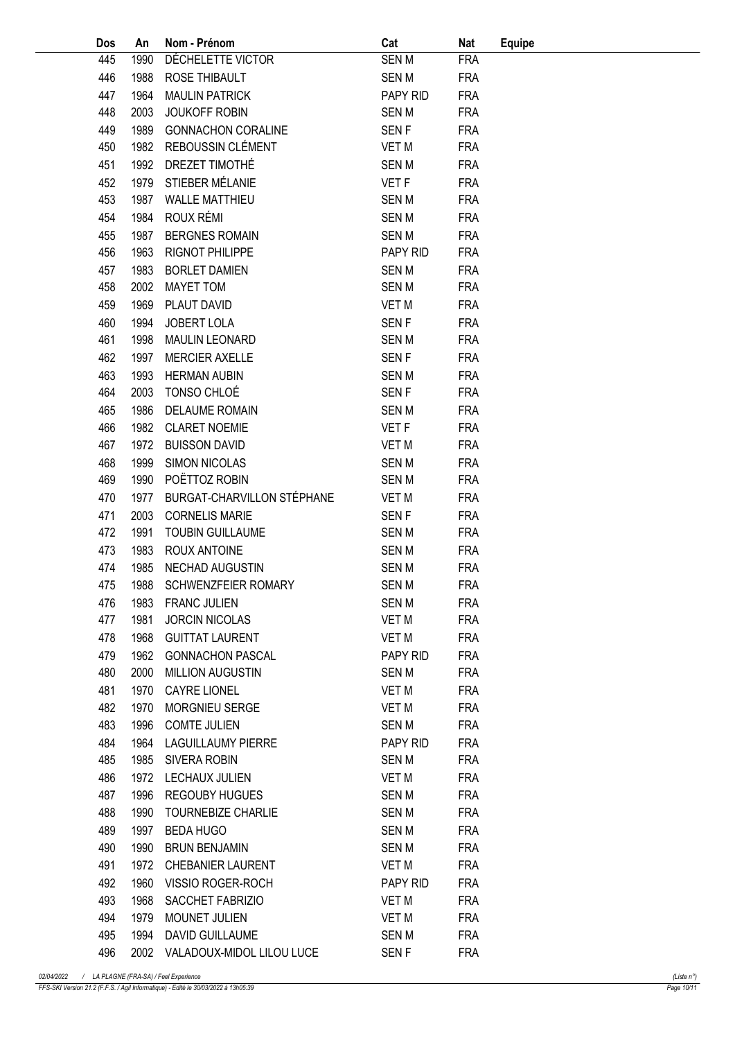| Dos | An   | Nom - Prénom                   | Cat              | <b>Nat</b> | <b>Equipe</b> |
|-----|------|--------------------------------|------------------|------------|---------------|
| 445 | 1990 | DÉCHELETTE VICTOR              | <b>SENM</b>      | <b>FRA</b> |               |
| 446 | 1988 | ROSE THIBAULT                  | <b>SENM</b>      | <b>FRA</b> |               |
| 447 | 1964 | <b>MAULIN PATRICK</b>          | PAPY RID         | <b>FRA</b> |               |
| 448 | 2003 | <b>JOUKOFF ROBIN</b>           | <b>SENM</b>      | <b>FRA</b> |               |
| 449 | 1989 | <b>GONNACHON CORALINE</b>      | SEN <sub>F</sub> | <b>FRA</b> |               |
| 450 | 1982 | REBOUSSIN CLÉMENT              | VET M            | <b>FRA</b> |               |
| 451 | 1992 | DREZET TIMOTHÉ                 | <b>SENM</b>      | <b>FRA</b> |               |
| 452 | 1979 | STIEBER MÉLANIE                | VET <sub>F</sub> | <b>FRA</b> |               |
| 453 | 1987 | <b>WALLE MATTHIEU</b>          | <b>SENM</b>      | <b>FRA</b> |               |
| 454 | 1984 | ROUX RÉMI                      | <b>SENM</b>      | <b>FRA</b> |               |
| 455 | 1987 | <b>BERGNES ROMAIN</b>          | <b>SENM</b>      | <b>FRA</b> |               |
| 456 | 1963 | <b>RIGNOT PHILIPPE</b>         | PAPY RID         | <b>FRA</b> |               |
| 457 | 1983 | <b>BORLET DAMIEN</b>           | <b>SENM</b>      | <b>FRA</b> |               |
| 458 | 2002 | <b>MAYET TOM</b>               | <b>SENM</b>      | <b>FRA</b> |               |
| 459 | 1969 | PLAUT DAVID                    | <b>VET M</b>     | <b>FRA</b> |               |
|     | 1994 | <b>JOBERT LOLA</b>             |                  |            |               |
| 460 |      |                                | SEN <sub>F</sub> | <b>FRA</b> |               |
| 461 | 1998 | <b>MAULIN LEONARD</b>          | <b>SENM</b>      | <b>FRA</b> |               |
| 462 | 1997 | <b>MERCIER AXELLE</b>          | SEN <sub>F</sub> | <b>FRA</b> |               |
| 463 | 1993 | <b>HERMAN AUBIN</b>            | <b>SENM</b>      | <b>FRA</b> |               |
| 464 | 2003 | TONSO CHLOÉ                    | SEN <sub>F</sub> | <b>FRA</b> |               |
| 465 | 1986 | <b>DELAUME ROMAIN</b>          | <b>SENM</b>      | <b>FRA</b> |               |
| 466 | 1982 | <b>CLARET NOEMIE</b>           | VET <sub>F</sub> | <b>FRA</b> |               |
| 467 | 1972 | <b>BUISSON DAVID</b>           | <b>VET M</b>     | <b>FRA</b> |               |
| 468 | 1999 | <b>SIMON NICOLAS</b>           | <b>SENM</b>      | <b>FRA</b> |               |
| 469 | 1990 | POËTTOZ ROBIN                  | <b>SENM</b>      | <b>FRA</b> |               |
| 470 | 1977 | BURGAT-CHARVILLON STÉPHANE     | <b>VET M</b>     | <b>FRA</b> |               |
| 471 | 2003 | <b>CORNELIS MARIE</b>          | SEN <sub>F</sub> | <b>FRA</b> |               |
| 472 | 1991 | <b>TOUBIN GUILLAUME</b>        | <b>SENM</b>      | <b>FRA</b> |               |
| 473 | 1983 | <b>ROUX ANTOINE</b>            | <b>SENM</b>      | <b>FRA</b> |               |
| 474 | 1985 | NECHAD AUGUSTIN                | <b>SENM</b>      | <b>FRA</b> |               |
| 475 |      | 1988 SCHWENZFEIER ROMARY       | <b>SENM</b>      | <b>FRA</b> |               |
| 476 |      | 1983 FRANC JULIEN              | SEN M            | <b>FRA</b> |               |
| 477 | 1981 | <b>JORCIN NICOLAS</b>          | VET M            | <b>FRA</b> |               |
| 478 | 1968 | <b>GUITTAT LAURENT</b>         | VET M            | <b>FRA</b> |               |
| 479 | 1962 | <b>GONNACHON PASCAL</b>        | PAPY RID         | <b>FRA</b> |               |
| 480 | 2000 | <b>MILLION AUGUSTIN</b>        | <b>SENM</b>      | <b>FRA</b> |               |
| 481 | 1970 | <b>CAYRE LIONEL</b>            | VET M            | <b>FRA</b> |               |
| 482 | 1970 | <b>MORGNIEU SERGE</b>          | VET M            | <b>FRA</b> |               |
| 483 | 1996 | <b>COMTE JULIEN</b>            | SEN M            | <b>FRA</b> |               |
| 484 | 1964 | LAGUILLAUMY PIERRE             | PAPY RID         | <b>FRA</b> |               |
| 485 | 1985 | SIVERA ROBIN                   | <b>SENM</b>      | <b>FRA</b> |               |
| 486 | 1972 | LECHAUX JULIEN                 | VET M            | <b>FRA</b> |               |
| 487 | 1996 | REGOUBY HUGUES                 | <b>SENM</b>      | <b>FRA</b> |               |
| 488 | 1990 | TOURNEBIZE CHARLIE             | <b>SEN M</b>     | <b>FRA</b> |               |
| 489 | 1997 | BEDA HUGO                      | SEN M            | <b>FRA</b> |               |
| 490 | 1990 | <b>BRUN BENJAMIN</b>           | SEN M            | <b>FRA</b> |               |
| 491 | 1972 | <b>CHEBANIER LAURENT</b>       | VET M            | <b>FRA</b> |               |
| 492 | 1960 | VISSIO ROGER-ROCH              | PAPY RID         | <b>FRA</b> |               |
| 493 | 1968 | SACCHET FABRIZIO               | VET M            | <b>FRA</b> |               |
| 494 | 1979 | MOUNET JULIEN                  | VET M            | <b>FRA</b> |               |
| 495 | 1994 | DAVID GUILLAUME                | <b>SEN M</b>     | <b>FRA</b> |               |
| 496 |      | 2002 VALADOUX-MIDOL LILOU LUCE | SEN <sub>F</sub> | <b>FRA</b> |               |
|     |      |                                |                  |            |               |